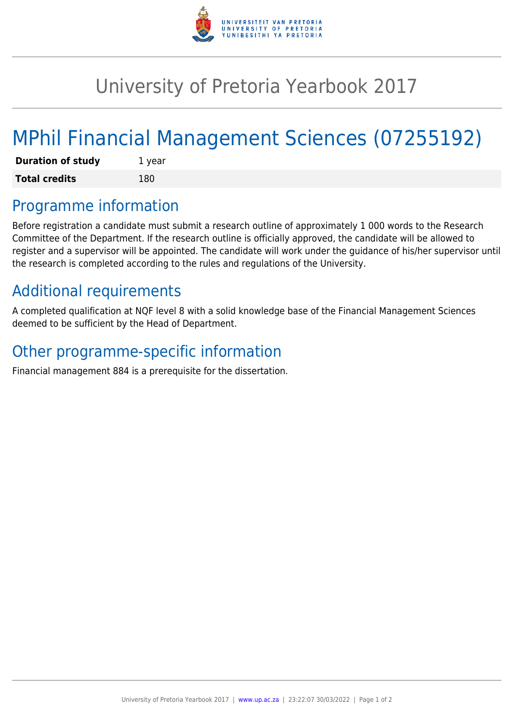

## University of Pretoria Yearbook 2017

# MPhil Financial Management Sciences (07255192)

| <b>Duration of study</b> | 1 year |
|--------------------------|--------|
| <b>Total credits</b>     | 180    |

### Programme information

Before registration a candidate must submit a research outline of approximately 1 000 words to the Research Committee of the Department. If the research outline is officially approved, the candidate will be allowed to register and a supervisor will be appointed. The candidate will work under the guidance of his/her supervisor until the research is completed according to the rules and regulations of the University.

### Additional requirements

A completed qualification at NQF level 8 with a solid knowledge base of the Financial Management Sciences deemed to be sufficient by the Head of Department.

### Other programme-specific information

Financial management 884 is a prerequisite for the dissertation.